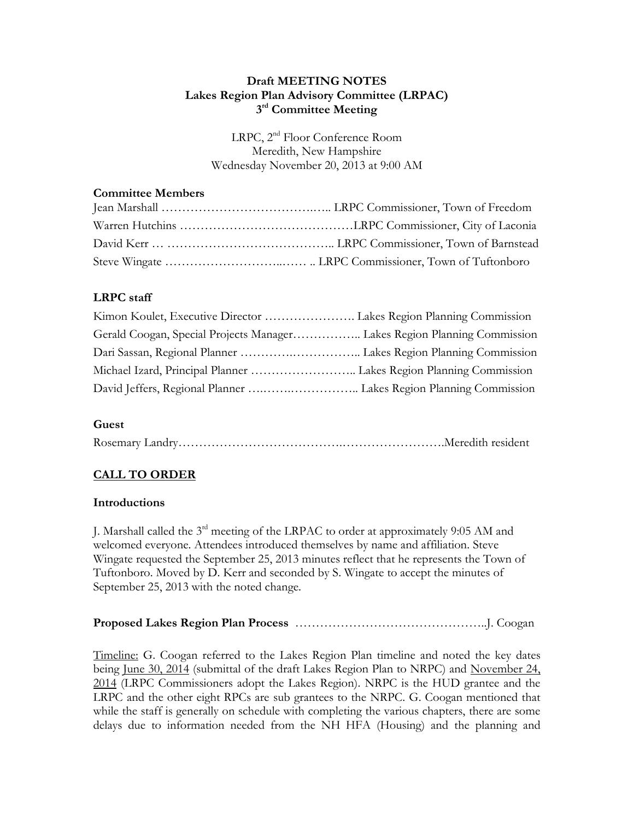#### **Draft MEETING NOTES Lakes Region Plan Advisory Committee (LRPAC) 3 rd Committee Meeting**

LRPC, 2<sup>nd</sup> Floor Conference Room Meredith, New Hampshire Wednesday November 20, 2013 at 9:00 AM

### **Committee Members**

# **LRPC staff**

| Gerald Coogan, Special Projects Manager Lakes Region Planning Commission |  |
|--------------------------------------------------------------------------|--|
|                                                                          |  |
|                                                                          |  |
|                                                                          |  |

# **Guest**

|--|--|--|--|--|

# **CALL TO ORDER**

#### **Introductions**

J. Marshall called the 3<sup>rd</sup> meeting of the LRPAC to order at approximately 9:05 AM and welcomed everyone. Attendees introduced themselves by name and affiliation. Steve Wingate requested the September 25, 2013 minutes reflect that he represents the Town of Tuftonboro. Moved by D. Kerr and seconded by S. Wingate to accept the minutes of September 25, 2013 with the noted change.

# **Proposed Lakes Region Plan Process** ………………………………………..J. Coogan

Timeline: G. Coogan referred to the Lakes Region Plan timeline and noted the key dates being <u>June 30, 2014</u> (submittal of the draft Lakes Region Plan to NRPC) and November 24, 2014 (LRPC Commissioners adopt the Lakes Region). NRPC is the HUD grantee and the LRPC and the other eight RPCs are sub grantees to the NRPC. G. Coogan mentioned that while the staff is generally on schedule with completing the various chapters, there are some delays due to information needed from the NH HFA (Housing) and the planning and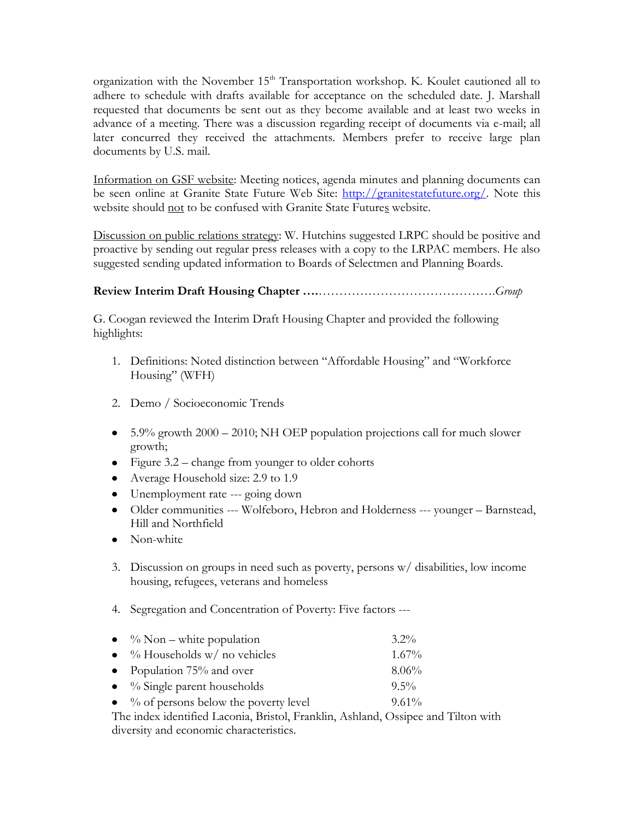organization with the November 15<sup>th</sup> Transportation workshop. K. Koulet cautioned all to adhere to schedule with drafts available for acceptance on the scheduled date. J. Marshall requested that documents be sent out as they become available and at least two weeks in advance of a meeting. There was a discussion regarding receipt of documents via e-mail; all later concurred they received the attachments. Members prefer to receive large plan documents by U.S. mail.

Information on GSF website: Meeting notices, agenda minutes and planning documents can be seen online at Granite State Future Web Site: [http://granitestatefuture.org/.](http://granitestatefuture.org/) Note this website should not to be confused with Granite State Futures website.

Discussion on public relations strategy: W. Hutchins suggested LRPC should be positive and proactive by sending out regular press releases with a copy to the LRPAC members. He also suggested sending updated information to Boards of Selectmen and Planning Boards.

# **Review Interim Draft Housing Chapter ….**…………………………………….*Group*

G. Coogan reviewed the Interim Draft Housing Chapter and provided the following highlights:

- 1. Definitions: Noted distinction between "Affordable Housing" and "Workforce Housing" (WFH)
- 2. Demo / Socioeconomic Trends
- $\bullet$  5.9% growth 2000 2010; NH OEP population projections call for much slower growth;
- Figure  $3.2$  change from younger to older cohorts
- Average Household size: 2.9 to 1.9
- Unemployment rate --- going down
- Older communities --- Wolfeboro, Hebron and Holderness --- younger Barnstead, Hill and Northfield
- Non-white
- 3. Discussion on groups in need such as poverty, persons w/ disabilities, low income housing, refugees, veterans and homeless
- 4. Segregation and Concentration of Poverty: Five factors ---
- $\%$  Non white population 3.2%  $\bullet$  % Households w/ no vehicles 1.67% • Population  $75\%$  and over  $8.06\%$
- % Single parent households 9.5%
- $\bullet$  % of persons below the poverty level 9.61%

The index identified Laconia, Bristol, Franklin, Ashland, Ossipee and Tilton with diversity and economic characteristics.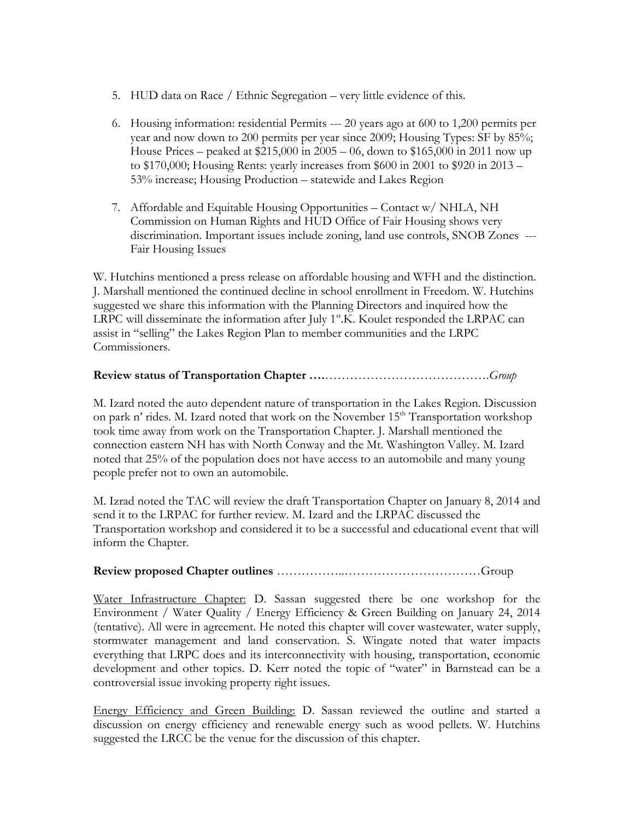- 5. HUD data on Race / Ethnic Segregation very little evidence of this.
- 6. Housing information: residential Permits --- 20 years ago at 600 to 1,200 permits per year and now down to 200 permits per year since 2009; Housing Types: SF by 85%; House Prices – peaked at \$215,000 in 2005 – 06, down to \$165,000 in 2011 now up to \$170,000; Housing Rents: yearly increases from \$600 in 2001 to \$920 in 2013 – 53% increase; Housing Production – statewide and Lakes Region
- 7. Affordable and Equitable Housing Opportunities Contact w/ NHLA, NH Commission on Human Rights and HUD Office of Fair Housing shows very discrimination. Important issues include zoning, land use controls, SNOB Zones --- Fair Housing Issues

W. Hutchins mentioned a press release on affordable housing and WFH and the distinction. J. Marshall mentioned the continued decline in school enrollment in Freedom. W. Hutchins suggested we share this information with the Planning Directors and inquired how the LRPC will disseminate the information after July  $1<sup>st</sup>$ .K. Koulet responded the LRPAC can assist in "selling" the Lakes Region Plan to member communities and the LRPC Commissioners.

### **Review status of Transportation Chapter ….**………………………………….*Group*

M. Izard noted the auto dependent nature of transportation in the Lakes Region. Discussion on park n' rides. M. Izard noted that work on the November  $15<sup>th</sup>$  Transportation workshop took time away from work on the Transportation Chapter. J. Marshall mentioned the connection eastern NH has with North Conway and the Mt. Washington Valley. M. Izard noted that 25% of the population does not have access to an automobile and many young people prefer not to own an automobile.

M. Izrad noted the TAC will review the draft Transportation Chapter on January 8, 2014 and send it to the LRPAC for further review. M. Izard and the LRPAC discussed the Transportation workshop and considered it to be a successful and educational event that will inform the Chapter.

#### **Review proposed Chapter outlines** ……………..……………………………Group

Water Infrastructure Chapter: D. Sassan suggested there be one workshop for the Environment / Water Quality / Energy Efficiency & Green Building on January 24, 2014 (tentative). All were in agreement. He noted this chapter will cover wastewater, water supply, stormwater management and land conservation. S. Wingate noted that water impacts everything that LRPC does and its interconnectivity with housing, transportation, economic development and other topics. D. Kerr noted the topic of "water" in Barnstead can be a controversial issue invoking property right issues.

Energy Efficiency and Green Building: D. Sassan reviewed the outline and started a discussion on energy efficiency and renewable energy such as wood pellets. W. Hutchins suggested the LRCC be the venue for the discussion of this chapter.